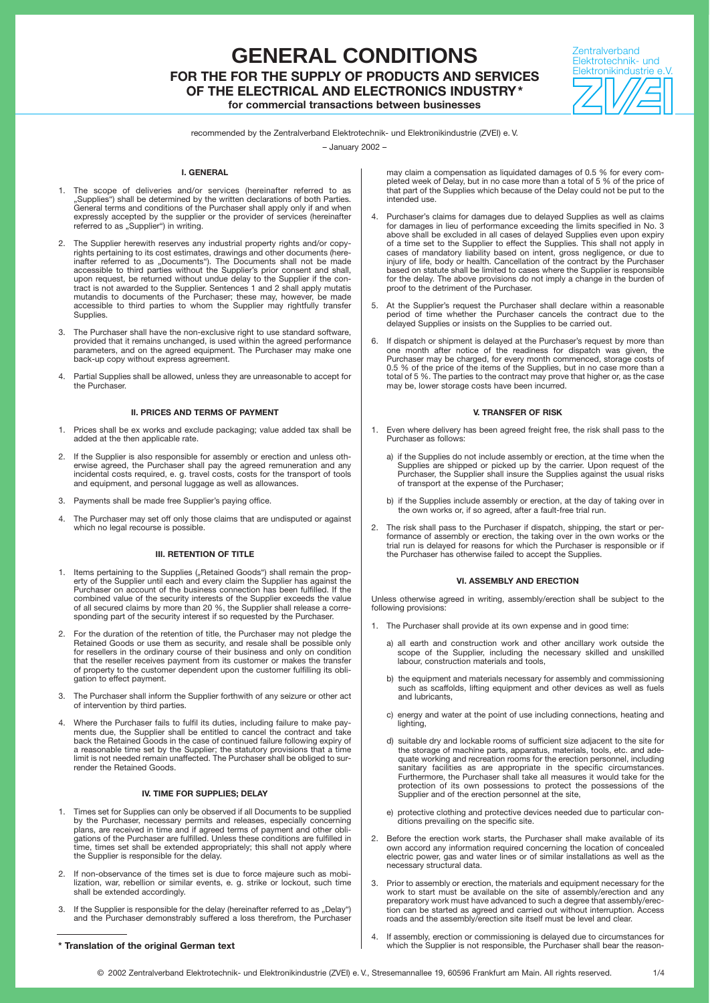## **GENERAL CONDITIONS FOR THE FOR THE SUPPLY OF PRODUCTS AND SERVICES OF THE ELECTRICAL AND ELECTRONICS INDUSTRY\* for commercial transactions between businesses**

**Zentralverband** Elektrotechnik- und Elektronikindustrie e.V.

recommended by the Zentralverband Elektrotechnik- und Elektronikindustrie (ZVEI) e. V.

– January 2002 –

#### **I. GENERAL**

- 1. The scope of deliveries and/or services (hereinafter referred to as "Supplies") shall be determined by the written declarations of both Parties. General terms and conditions of the Purchaser shall apply only if and when expressly accepted by the supplier or the provider of services (hereinafter referred to as "Supplier") in writing.
- 2. The Supplier herewith reserves any industrial property rights and/or copy-<br>rights pertaining to its cost estimates, drawings and other documents (here-<br>inafter referred to as "Documents"). The Documents shall not be mad upon request, be returned without undue delay to the Supplier if the con-tract is not awarded to the Supplier. Sentences 1 and 2 shall apply mutatis mutandis to documents of the Purchaser; these may, however, be made accessible to third parties to whom the Supplier may rightfully transfer Supplies.
- 3. The Purchaser shall have the non-exclusive right to use standard software, provided that it remains unchanged, is used within the agreed performance parameters, and on the agreed equipment. The Purchaser may make one back-up copy without express agreement.
- 4. Partial Supplies shall be allowed, unless they are unreasonable to accept for the Purchaser.

#### **II. PRICES AND TERMS OF PAYMENT**

- 1. Prices shall be ex works and exclude packaging; value added tax shall be added at the then applicable rate.
- 2. If the Supplier is also responsible for assembly or erection and unless otherwise agreed, the Purchaser shall pay the agreed remuneration and any incidental costs required, e.g. travel costs, costs for the transport of
- 3. Payments shall be made free Supplier's paying office.
- The Purchaser may set off only those claims that are undisputed or against which no legal recourse is possible.

#### **III. RETENTION OF TITLE**

- 1. Items pertaining to the Supplies ("Retained Goods") shall remain the property of the Supplier until each and every claim the Supplier has against the Purchaser on account of the business connection has been fulfilled. If the combined value of the security interests of the Supplier exceeds the value of all secured claims by more than 20 %, the Supplier shall release a corresponding part of the security interest if so requested by the Purchaser.
- 2. For the duration of the retention of title, the Purchaser may not pledge the<br>Retained Goods or use them as security, and resale shall be possible only<br>for resellers in the ordinary course of their business and only on c that the reseller receives payment from its customer or makes the transfer of property to the customer dependent upon the customer fulfilling its obligation to effect payment.
- 3. The Purchaser shall inform the Supplier forthwith of any seizure or other act of intervention by third parties.
- 4. Where the Purchaser fails to fulfil its duties, including failure to make pay-ments due, the Supplier shall be entitled to cancel the contract and take back the Retained Goods in the case of continued failure following expiry of<br>a reasonable time set by the Supplier; the statutory provisions that a time<br>limit is not needed remain unaffected. The Purchaser shall be obliged render the Retained Goods.

#### **IV. TIME FOR SUPPLIES; DELAY**

- Times set for Supplies can only be observed if all Documents to be supplied by the Purchaser, necessary permits and releases, especially concerning plans, are received in time and if agreed terms of payment and other obligations of the Purchaser are fulfilled. Unless these conditions are fulfilled in time, times set shall be extended appropriately; this shall not apply where the Supplier is responsible for the delay.
- 2. If non-observance of the times set is due to force majeure such as mobi-lization, war, rebellion or similar events, e. g. strike or lockout, such time shall be extended accordingly.
- 3. If the Supplier is responsible for the delay (hereinafter referred to as "Delay") and the Purchaser demonstrably suffered a loss therefrom, the Purchase

may claim a compensation as liquidated damages of 0.5 % for every completed week of Delay, but in no case more than a total of 5 % of the price of that part of the Supplies which because of the Delay could not be put to the intended use.

- Purchaser's claims for damages due to delayed Supplies as well as claims for damages in lieu of performance exceeding the limits specified in No. 3 above shall be excluded in all cases of delayed Supplies even upon expiry of a time set to the Supplier to effect the Supplies. This shall not apply in cases of mandatory liability based on intent, gross negligence, or due to injury of life, body or health. Cancellation of the contract by the Purchaser based on statute shall be limited to cases where the Supplier is responsible for the delay. The above provisions do not imply a change in the burden of proof to the detriment of the Purchaser.
- 5. At the Supplier's request the Purchaser shall declare within a reasonable period of time whether the Purchaser cancels the contract due to the delayed Supplies or insists on the Supplies to be carried out.
- If dispatch or shipment is delayed at the Purchaser's request by more than one month after notice of the readiness for dispatch was given, the Purchaser may be charged, for every month commenced, storage costs of 0.5 % of the price of the items of the Supplies, but in no case more than a total of 5 %. The parties to the contract may prove that higher or, as the case may be, lower storage costs have been incurred.

#### **V. TRANSFER OF RISK**

- 1. Even where delivery has been agreed freight free, the risk shall pass to the Purchaser as follows:
	- a) if the Supplies do not include assembly or erection, at the time when the Supplies are shipped or picked up by the carrier. Upon request of the Purchaser, the Supplier shall insure the Supplies against the usual risks o
	- b) if the Supplies include assembly or erection, at the day of taking over in the own works or, if so agreed, after a fault-free trial run.
- 2. The risk shall pass to the Purchaser if dispatch, shipping, the start or performance of assembly or erection, the taking over in the own works or the trial run is delayed for reasons for which the Purchaser is responsible or if the Purchaser has otherwise failed to accept the Supplies.

#### **VI. ASSEMBLY AND ERECTION**

Unless otherwise agreed in writing, assembly/erection shall be subject to the following provisions:

- 1. The Purchaser shall provide at its own expense and in good time:
	- a) all earth and construction work and other ancillary work outside the scope of the Supplier, including the necessary skilled and unskilled labour, construction materials and tools,
	- b) the equipment and materials necessary for assembly and commissioning such as scaffolds, lifting equipment and other devices as well as fuels and lubricants,
	- c) energy and water at the point of use including connections, heating and lighting.
	- d) suitable dry and lockable rooms of sufficient size adjacent to the site for the storage of machine parts, apparatus, materials, tools, etc. and ade-quate working and recreation rooms for the erection personnel, including sanitary facilities as are appropriate in the specific circumstances. Furthermore, the Purchaser shall take all measures it would take for the protection of its own possessions to protect the possessions of the Supplier and of the erection personnel at the site,
	- e) protective clothing and protective devices needed due to particular conditions prevailing on the specific site.
- Before the erection work starts, the Purchaser shall make available of its own accord any information required concerning the location of concealed electric power, gas and water lines or of similar installations as well as the necessary structural data.
- 3. Prior to assembly or erection, the materials and equipment necessary for the work to start must be available on the site of assembly/erection and any preparatory work must have advanced to such a degree that assembly/erec-tion can be started as agreed and carried out without interruption. Access roads and the assembly/erection site itself must be level and clear.
- 4. If assembly, erection or commissioning is delayed due to circumstances for **\* Translation of the original German text** which the Supplier is not responsible, the Purchaser shall bear the reason-